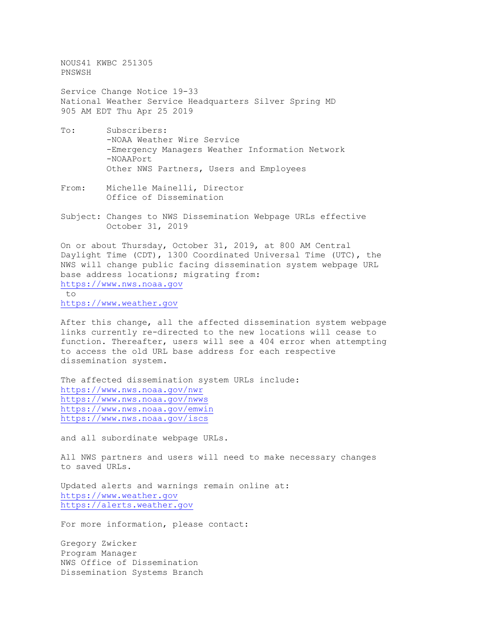NOUS41 KWBC 251305 PNSWSH

Service Change Notice 19-33 National Weather Service Headquarters Silver Spring MD 905 AM EDT Thu Apr 25 2019

- To: Subscribers: -NOAA Weather Wire Service -Emergency Managers Weather Information Network -NOAAPort Other NWS Partners, Users and Employees
- From: Michelle Mainelli, Director Office of Dissemination
- Subject: Changes to NWS Dissemination Webpage URLs effective October 31, 2019

On or about Thursday, October 31, 2019, at 800 AM Central Daylight Time (CDT), 1300 Coordinated Universal Time (UTC), the NWS will change public facing dissemination system webpage URL base address locations; migrating from: [https://www.nws.noaa.gov](https://www.nws.noaa.gov/)

to [https://www.weather.gov](https://www.weather.gov/)

After this change, all the affected dissemination system webpage links currently re-directed to the new locations will cease to function. Thereafter, users will see a 404 error when attempting to access the old URL base address for each respective dissemination system.

The affected dissemination system URLs include: <https://www.nws.noaa.gov/nwr> <https://www.nws.noaa.gov/nwws> <https://www.nws.noaa.gov/emwin> <https://www.nws.noaa.gov/iscs>

and all subordinate webpage URLs.

All NWS partners and users will need to make necessary changes to saved URLs.

Updated alerts and warnings remain online at: [https://www.weather.gov](https://www.weather.gov/) [https://alerts.weather.gov](https://alerts.weather.gov/)

For more information, please contact:

Gregory Zwicker Program Manager NWS Office of Dissemination Dissemination Systems Branch